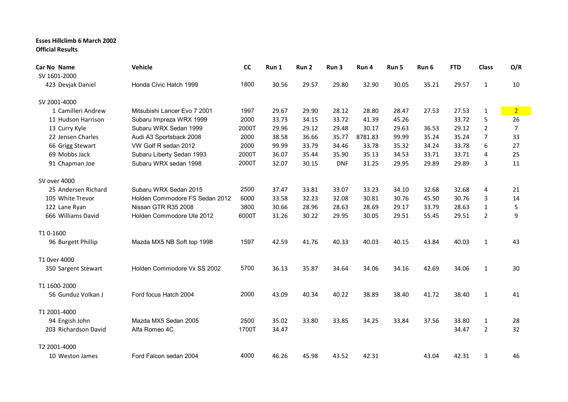## **Esses Hillclimb 6 March 2002 Official Results**

| Car No Name          | Vehicle                        | cc    | Run 1 | Run <sub>2</sub> | Run <sub>3</sub> | Run 4   | Run 5 | Run 6 | <b>FTD</b> | <b>Class</b>   | O/R            |
|----------------------|--------------------------------|-------|-------|------------------|------------------|---------|-------|-------|------------|----------------|----------------|
| SV 1601-2000         |                                |       |       |                  |                  |         |       |       |            |                |                |
| 423 Devjak Daniel    | Honda Civic Hatch 1999         | 1800  | 30.56 | 29.57            | 29.80            | 32.90   | 30.05 | 35.21 | 29.57      | $\mathbf{1}$   | 10             |
| SV 2001-4000         |                                |       |       |                  |                  |         |       |       |            |                |                |
| 1 Camilleri Andrew   | Mitsubishi Lancer Evo 7 2001   | 1997  | 29.67 | 29.90            | 28.12            | 28.80   | 28.47 | 27.53 | 27.53      | $\mathbf 1$    | $\overline{2}$ |
| 11 Hudson Harrison   | Subaru Impreza WRX 1999        | 2000  | 33.73 | 34.15            | 33.72            | 41.39   | 45.26 |       | 33.72      | 5              | 26             |
| 13 Curry Kyle        | Subaru WRX Sedan 1999          | 2000T | 29.96 | 29.12            | 29.48            | 30.17   | 29.63 | 36.53 | 29.12      | $\overline{2}$ | 7              |
| 22 Jensen Charles    | Audi A3 Sportsback 2008        | 2000  | 38.58 | 36.66            | 35.77            | 8781.83 | 99.99 | 35.24 | 35.24      | 7              | 33             |
| 66 Grigg Stewart     | VW Golf R sedan 2012           | 2000  | 99.99 | 33.79            | 34.46            | 33.78   | 35.32 | 34.24 | 33.78      | 6              | 27             |
| 69 Mobbs Jack        | Subaru Liberty Sedan 1993      | 2000T | 36.07 | 35.44            | 35.90            | 35.13   | 34.53 | 33.71 | 33.71      | 4              | 25             |
| 91 Chapman Joe       | Subaru WRX sedan 1998          | 2000T | 32.07 | 30.15            | <b>DNF</b>       | 31.25   | 29.95 | 29.89 | 29.89      | 3              | 11             |
| SV over 4000         |                                |       |       |                  |                  |         |       |       |            |                |                |
| 25 Andersen Richard  | Subaru WRX Sedan 2015          | 2500  | 37.47 | 33.81            | 33.07            | 33.23   | 34.10 | 32.68 | 32.68      | 4              | 21             |
| 105 White Trevor     | Holden Commodore FS Sedan 2012 | 6000  | 33.58 | 32.23            | 32.08            | 30.81   | 30.76 | 45.50 | 30.76      | 3              | 14             |
| 122 Lane Ryan        | Nissan GTR R35 2008            | 3800  | 30.66 | 28.96            | 28.63            | 28.69   | 29.17 | 33.79 | 28.63      | $\mathbf{1}$   | 5              |
| 666 Williams David   | Holden Commodore Ute 2012      | 6000T | 31.26 | 30.22            | 29.95            | 30.05   | 29.51 | 55.45 | 29.51      | $\overline{2}$ | 9              |
| T10-1600             |                                |       |       |                  |                  |         |       |       |            |                |                |
| 96 Burgett Phillip   | Mazda MX5 NB Soft top 1998     | 1597  | 42.59 | 41.76            | 40.33            | 40.03   | 40.15 | 43.84 | 40.03      | $\mathbf{1}$   | 43             |
| T1 0ver 4000         |                                |       |       |                  |                  |         |       |       |            |                |                |
| 350 Sargent Stewart  | Holden Commodore Vx SS 2002    | 5700  | 36.13 | 35.87            | 34.64            | 34.06   | 34.16 | 42.69 | 34.06      | $\mathbf{1}$   | 30             |
| T1 1600-2000         |                                |       |       |                  |                  |         |       |       |            |                |                |
| 56 Gunduz Volkan J   | Ford focus Hatch 2004          | 2000  | 43.09 | 40.34            | 40.22            | 38.89   | 38.40 | 41.72 | 38.40      | $\mathbf{1}$   | 41             |
| T1 2001-4000         |                                |       |       |                  |                  |         |       |       |            |                |                |
| 94 Engish John       | Mazda MX5 Sedan 2005           | 2500  | 35.02 | 33.80            | 33.85            | 34.25   | 33.84 | 37.56 | 33.80      | $\mathbf{1}$   | 28             |
| 203 Richardson David | Alfa Romeo 4C                  | 1700T | 34.47 |                  |                  |         |       |       | 34.47      | $\overline{2}$ | 32             |
| T2 2001-4000         |                                |       |       |                  |                  |         |       |       |            |                |                |
| 10 Weston James      | Ford Falcon sedan 2004         | 4000  | 46.26 | 45.98            | 43.52            | 42.31   |       | 43.04 | 42.31      | 3              | 46             |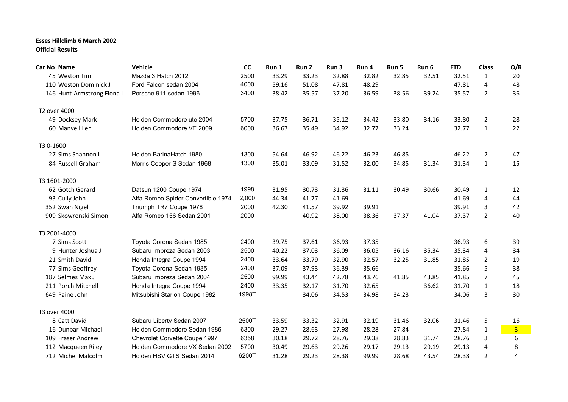## **Esses Hillclimb 6 March 2002 Official Results**

| Car No Name                | Vehicle                            | cc    | Run 1 | Run 2 | Run 3 | Run 4 | Run 5 | Run 6 | <b>FTD</b> | <b>Class</b>   | O/R            |
|----------------------------|------------------------------------|-------|-------|-------|-------|-------|-------|-------|------------|----------------|----------------|
| 45 Weston Tim              | Mazda 3 Hatch 2012                 | 2500  | 33.29 | 33.23 | 32.88 | 32.82 | 32.85 | 32.51 | 32.51      | 1              | 20             |
| 110 Weston Dominick J      | Ford Falcon sedan 2004             | 4000  | 59.16 | 51.08 | 47.81 | 48.29 |       |       | 47.81      | 4              | 48             |
| 146 Hunt-Armstrong Fiona L | Porsche 911 sedan 1996             | 3400  | 38.42 | 35.57 | 37.20 | 36.59 | 38.56 | 39.24 | 35.57      | $\overline{2}$ | 36             |
| T2 over 4000               |                                    |       |       |       |       |       |       |       |            |                |                |
| 49 Docksey Mark            | Holden Commodore ute 2004          | 5700  | 37.75 | 36.71 | 35.12 | 34.42 | 33.80 | 34.16 | 33.80      | $\overline{2}$ | 28             |
| 60 Manvell Len             | Holden Commodore VE 2009           | 6000  | 36.67 | 35.49 | 34.92 | 32.77 | 33.24 |       | 32.77      | $\mathbf{1}$   | 22             |
| T3 0-1600                  |                                    |       |       |       |       |       |       |       |            |                |                |
| 27 Sims Shannon L          | Holden BarinaHatch 1980            | 1300  | 54.64 | 46.92 | 46.22 | 46.23 | 46.85 |       | 46.22      | $\overline{2}$ | 47             |
| 84 Russell Graham          | Morris Cooper S Sedan 1968         | 1300  | 35.01 | 33.09 | 31.52 | 32.00 | 34.85 | 31.34 | 31.34      | $\mathbf{1}$   | 15             |
| T3 1601-2000               |                                    |       |       |       |       |       |       |       |            |                |                |
| 62 Gotch Gerard            | Datsun 1200 Coupe 1974             | 1998  | 31.95 | 30.73 | 31.36 | 31.11 | 30.49 | 30.66 | 30.49      | 1              | 12             |
| 93 Cully John              | Alfa Romeo Spider Convertible 1974 | 2,000 | 44.34 | 41.77 | 41.69 |       |       |       | 41.69      | 4              | 44             |
| 352 Swan Nigel             | Triumph TR7 Coupe 1978             | 2000  | 42.30 | 41.57 | 39.92 | 39.91 |       |       | 39.91      | 3              | 42             |
| 909 Skowronski Simon       | Alfa Romeo 156 Sedan 2001          | 2000  |       | 40.92 | 38.00 | 38.36 | 37.37 | 41.04 | 37.37      | $\overline{2}$ | 40             |
| T3 2001-4000               |                                    |       |       |       |       |       |       |       |            |                |                |
| 7 Sims Scott               | Toyota Corona Sedan 1985           | 2400  | 39.75 | 37.61 | 36.93 | 37.35 |       |       | 36.93      | 6              | 39             |
| 9 Hunter Joshua J          | Subaru Impreza Sedan 2003          | 2500  | 40.22 | 37.03 | 36.09 | 36.05 | 36.16 | 35.34 | 35.34      | 4              | 34             |
| 21 Smith David             | Honda Integra Coupe 1994           | 2400  | 33.64 | 33.79 | 32.90 | 32.57 | 32.25 | 31.85 | 31.85      | $\overline{2}$ | 19             |
| 77 Sims Geoffrey           | Toyota Corona Sedan 1985           | 2400  | 37.09 | 37.93 | 36.39 | 35.66 |       |       | 35.66      | 5              | 38             |
| 187 Selmes Max J           | Subaru Impreza Sedan 2004          | 2500  | 99.99 | 43.44 | 42.78 | 43.76 | 41.85 | 43.85 | 41.85      | 7              | 45             |
| 211 Porch Mitchell         | Honda Integra Coupe 1994           | 2400  | 33.35 | 32.17 | 31.70 | 32.65 |       | 36.62 | 31.70      | $\mathbf{1}$   | 18             |
| 649 Paine John             | Mitsubishi Starion Coupe 1982      | 1998T |       | 34.06 | 34.53 | 34.98 | 34.23 |       | 34.06      | 3              | 30             |
| T3 over 4000               |                                    |       |       |       |       |       |       |       |            |                |                |
| 8 Catt David               | Subaru Liberty Sedan 2007          | 2500T | 33.59 | 33.32 | 32.91 | 32.19 | 31.46 | 32.06 | 31.46      | 5              | 16             |
| 16 Dunbar Michael          | Holden Commodore Sedan 1986        | 6300  | 29.27 | 28.63 | 27.98 | 28.28 | 27.84 |       | 27.84      | $\mathbf 1$    | $\overline{3}$ |
| 109 Fraser Andrew          | Chevrolet Corvette Coupe 1997      | 6358  | 30.18 | 29.72 | 28.76 | 29.38 | 28.83 | 31.74 | 28.76      | 3              | 6              |
| 112 Macqueen Riley         | Holden Commodore VX Sedan 2002     | 5700  | 30.49 | 29.63 | 29.26 | 29.17 | 29.13 | 29.19 | 29.13      | 4              | 8              |
| 712 Michel Malcolm         | Holden HSV GTS Sedan 2014          | 6200T | 31.28 | 29.23 | 28.38 | 99.99 | 28.68 | 43.54 | 28.38      | $\overline{2}$ | 4              |